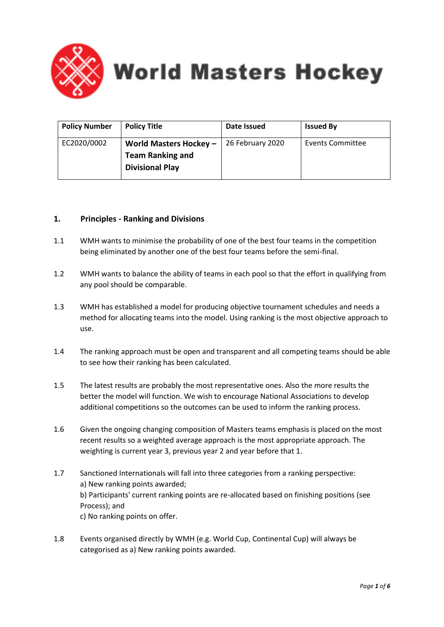

**World Masters Hockey** 

| <b>Policy Number</b> | <b>Policy Title</b>                                                         | Date Issued      | <b>Issued By</b> |
|----------------------|-----------------------------------------------------------------------------|------------------|------------------|
| EC2020/0002          | World Masters Hockey -<br><b>Team Ranking and</b><br><b>Divisional Play</b> | 26 February 2020 | Events Committee |

### **1. Principles - Ranking and Divisions**

- 1.1 WMH wants to minimise the probability of one of the best four teams in the competition being eliminated by another one of the best four teams before the semi-final.
- 1.2 WMH wants to balance the ability of teams in each pool so that the effort in qualifying from any pool should be comparable.
- 1.3 WMH has established a model for producing objective tournament schedules and needs a method for allocating teams into the model. Using ranking is the most objective approach to use.
- 1.4 The ranking approach must be open and transparent and all competing teams should be able to see how their ranking has been calculated.
- 1.5 The latest results are probably the most representative ones. Also the more results the better the model will function. We wish to encourage National Associations to develop additional competitions so the outcomes can be used to inform the ranking process.
- 1.6 Given the ongoing changing composition of Masters teams emphasis is placed on the most recent results so a weighted average approach is the most appropriate approach. The weighting is current year 3, previous year 2 and year before that 1.
- 1.7 Sanctioned Internationals will fall into three categories from a ranking perspective: a) New ranking points awarded; b) Participants' current ranking points are re-allocated based on finishing positions (see Process); and c) No ranking points on offer.
- 1.8 Events organised directly by WMH (e.g. World Cup, Continental Cup) will always be categorised as a) New ranking points awarded.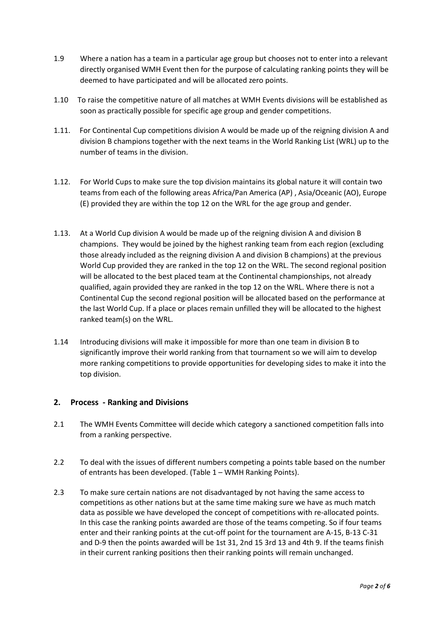- 1.9 Where a nation has a team in a particular age group but chooses not to enter into a relevant directly organised WMH Event then for the purpose of calculating ranking points they will be deemed to have participated and will be allocated zero points.
- 1.10 To raise the competitive nature of all matches at WMH Events divisions will be established as soon as practically possible for specific age group and gender competitions.
- 1.11. For Continental Cup competitions division A would be made up of the reigning division A and division B champions together with the next teams in the World Ranking List (WRL) up to the number of teams in the division.
- 1.12. For World Cups to make sure the top division maintains its global nature it will contain two teams from each of the following areas Africa/Pan America (AP) , Asia/Oceanic (AO), Europe (E) provided they are within the top 12 on the WRL for the age group and gender.
- 1.13. At a World Cup division A would be made up of the reigning division A and division B champions. They would be joined by the highest ranking team from each region (excluding those already included as the reigning division A and division B champions) at the previous World Cup provided they are ranked in the top 12 on the WRL. The second regional position will be allocated to the best placed team at the Continental championships, not already qualified, again provided they are ranked in the top 12 on the WRL. Where there is not a Continental Cup the second regional position will be allocated based on the performance at the last World Cup. If a place or places remain unfilled they will be allocated to the highest ranked team(s) on the WRL.
- 1.14 Introducing divisions will make it impossible for more than one team in division B to significantly improve their world ranking from that tournament so we will aim to develop more ranking competitions to provide opportunities for developing sides to make it into the top division.

#### **2. Process - Ranking and Divisions**

- 2.1 The WMH Events Committee will decide which category a sanctioned competition falls into from a ranking perspective.
- 2.2 To deal with the issues of different numbers competing a points table based on the number of entrants has been developed. (Table 1 – WMH Ranking Points).
- 2.3 To make sure certain nations are not disadvantaged by not having the same access to competitions as other nations but at the same time making sure we have as much match data as possible we have developed the concept of competitions with re-allocated points. In this case the ranking points awarded are those of the teams competing. So if four teams enter and their ranking points at the cut-off point for the tournament are A-15, B-13 C-31 and D-9 then the points awarded will be 1st 31, 2nd 15 3rd 13 and 4th 9. If the teams finish in their current ranking positions then their ranking points will remain unchanged.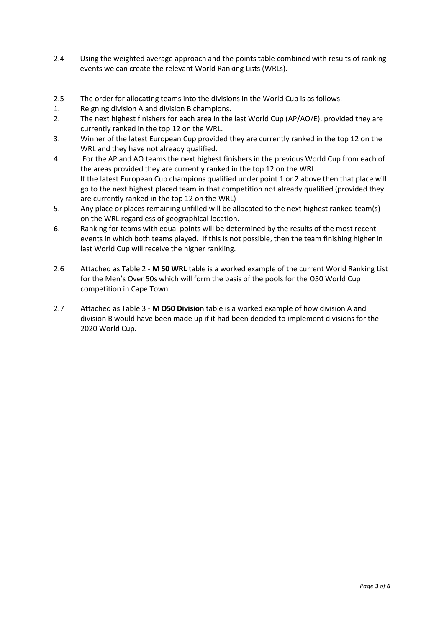- 2.4 Using the weighted average approach and the points table combined with results of ranking events we can create the relevant World Ranking Lists (WRLs).
- 2.5 The order for allocating teams into the divisions in the World Cup is as follows:
- 1. Reigning division A and division B champions.
- 2. The next highest finishers for each area in the last World Cup (AP/AO/E), provided they are currently ranked in the top 12 on the WRL.
- 3. Winner of the latest European Cup provided they are currently ranked in the top 12 on the WRL and they have not already qualified.
- 4. For the AP and AO teams the next highest finishers in the previous World Cup from each of the areas provided they are currently ranked in the top 12 on the WRL. If the latest European Cup champions qualified under point 1 or 2 above then that place will go to the next highest placed team in that competition not already qualified (provided they are currently ranked in the top 12 on the WRL)
- 5. Any place or places remaining unfilled will be allocated to the next highest ranked team(s) on the WRL regardless of geographical location.
- 6. Ranking for teams with equal points will be determined by the results of the most recent events in which both teams played. If this is not possible, then the team finishing higher in last World Cup will receive the higher rankling.
- 2.6 Attached as Table 2 **M 50 WRL** table is a worked example of the current World Ranking List for the Men's Over 50s which will form the basis of the pools for the O50 World Cup competition in Cape Town.
- 2.7 Attached as Table 3 **M O50 Division** table is a worked example of how division A and division B would have been made up if it had been decided to implement divisions for the 2020 World Cup.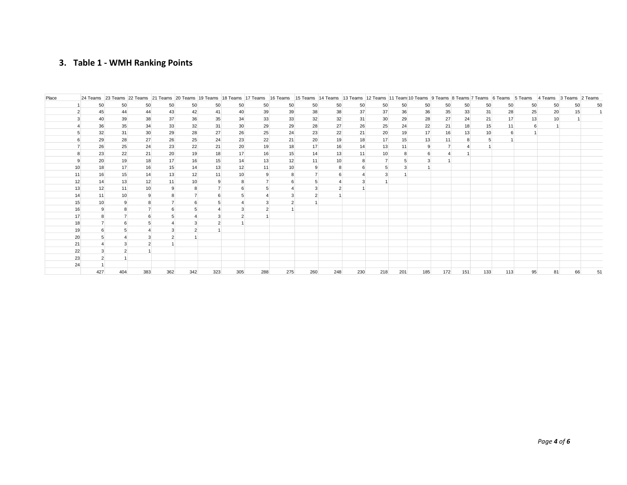# **3. Table 1 - WMH Ranking Points**

| Place |    |     |                 |                 |     |                |                |                 |     |                |                |                |     |                 |     |     |                         |     |     |     | 24 Teams 27 Teams 22 Teams 21 Teams 20 Teams 19 Teams 18 Teams 17 Teams 16 Teams 15 Teams 14 Teams 13 Teams 12 Teams 11 Teams 10 Teams 8 Teams 8 Teams 6 Teams 6 Teams 5 Teams 4 Teams 2 Teams 2 Teams 2 Teams 2 Teams 2 Teams |    |    |    |
|-------|----|-----|-----------------|-----------------|-----|----------------|----------------|-----------------|-----|----------------|----------------|----------------|-----|-----------------|-----|-----|-------------------------|-----|-----|-----|--------------------------------------------------------------------------------------------------------------------------------------------------------------------------------------------------------------------------------|----|----|----|
|       |    | 50  | 50              | 50              | 50  | 50             | 50             | 50              | 50  | 50             | 50             | 50             | 50  | 50              | 50  | 50  | 50                      | 50  | 50  | 50  | 50                                                                                                                                                                                                                             | 50 | 50 | 50 |
|       |    | 45  | 44              | 44              | 43  | 42             | 41             | 40              | 39  | 39             | 38             | 38             | 37  | 37              | 36  | 36  | 35                      | 33  | 31  | 28  | 25                                                                                                                                                                                                                             | 20 | 15 |    |
|       |    | 40  | 39              | 38              | 37  | 36             | 35             | 34              | 33  | 33             | 32             | 32             | 31  | 30              | 29  | 28  | 27                      | 24  | 21  | 17  | 13                                                                                                                                                                                                                             | 10 |    |    |
|       |    | 36  | 35              | 34              | 33  | 32             | 31             | 30              | 29  | 29             | 28             | 27             | 26  | 25              | 24  | 22  | 21                      | 18  | 15  | 11  | 6                                                                                                                                                                                                                              |    |    |    |
|       |    | 32  | 31              | 30              | 29  | 28             | 27             | 26              | 25  | 24             | 23             | 22             | 21  | 20              | 19  | 17  | 16                      | 13  | 10  | 6   |                                                                                                                                                                                                                                |    |    |    |
|       |    | 29  | 28              | 27              | 26  | 25             | 24             | 23              | 22  | 21             | 20             | 19             | 18  | 17              | 15  | 13  | 11                      | 8   | -5  |     |                                                                                                                                                                                                                                |    |    |    |
|       |    | 26  | 25              | 24              | 23  | 22             | 21             | 20              | 19  | 18             | 17             | 16             | 14  | 13              | 11  |     | $\overline{7}$          |     |     |     |                                                                                                                                                                                                                                |    |    |    |
|       |    | 23  | 22              | 21              | 20  | 19             | 18             | 17              | 16  | 15             | 14             | 13             | 11  | 10 <sup>1</sup> | 8   | 6   | $\overline{\mathbf{A}}$ |     |     |     |                                                                                                                                                                                                                                |    |    |    |
|       | 9  | 20  | 19              | 18              | 17  | 16             | 15             | 14              | 13  | 12             | 11             | 10             | 8   | $\overline{7}$  |     | 3   |                         |     |     |     |                                                                                                                                                                                                                                |    |    |    |
|       | 10 | 18  | 17              | 16              | 15  | 14             | 13             | 12              | 11  | 10             | 9              | 8              | 6   | 5               |     |     |                         |     |     |     |                                                                                                                                                                                                                                |    |    |    |
|       | 11 | 16  | 15              | 14              | 13  | 12             | 11             | 10              | 9   | 8              |                | ĥ              | 4   | 3               |     |     |                         |     |     |     |                                                                                                                                                                                                                                |    |    |    |
|       | 12 | 14  | 13              | 12              | 11  | 10             | 9              | 8               |     | 6              | 5              |                | 3   |                 |     |     |                         |     |     |     |                                                                                                                                                                                                                                |    |    |    |
|       | 13 | 12  | 11              | 10 <sup>1</sup> | 9   | 8              | $\overline{7}$ | 6               | 5   |                | 3              | $\overline{2}$ |     |                 |     |     |                         |     |     |     |                                                                                                                                                                                                                                |    |    |    |
|       | 14 | 11  | 10 <sup>1</sup> | 9               |     | $\overline{7}$ | 6              | $5\overline{5}$ |     | 3              | $\overline{2}$ |                |     |                 |     |     |                         |     |     |     |                                                                                                                                                                                                                                |    |    |    |
|       | 15 | 10  | 9               | 8               |     | 6              | 5              |                 | 3   | $\overline{2}$ |                |                |     |                 |     |     |                         |     |     |     |                                                                                                                                                                                                                                |    |    |    |
|       | 16 |     | 8               | $\overline{7}$  |     |                |                | 3               |     |                |                |                |     |                 |     |     |                         |     |     |     |                                                                                                                                                                                                                                |    |    |    |
|       | 17 |     |                 | 6               |     |                | 3              |                 |     |                |                |                |     |                 |     |     |                         |     |     |     |                                                                                                                                                                                                                                |    |    |    |
|       | 18 |     | 6               | 5               |     | 3              | $\overline{2}$ |                 |     |                |                |                |     |                 |     |     |                         |     |     |     |                                                                                                                                                                                                                                |    |    |    |
|       | 19 | 6   | 5               | $\overline{A}$  |     |                |                |                 |     |                |                |                |     |                 |     |     |                         |     |     |     |                                                                                                                                                                                                                                |    |    |    |
|       | 20 |     |                 | 3               |     |                |                |                 |     |                |                |                |     |                 |     |     |                         |     |     |     |                                                                                                                                                                                                                                |    |    |    |
|       | 21 |     | 3               | $\overline{2}$  |     |                |                |                 |     |                |                |                |     |                 |     |     |                         |     |     |     |                                                                                                                                                                                                                                |    |    |    |
|       | 22 |     |                 |                 |     |                |                |                 |     |                |                |                |     |                 |     |     |                         |     |     |     |                                                                                                                                                                                                                                |    |    |    |
|       | 23 |     |                 |                 |     |                |                |                 |     |                |                |                |     |                 |     |     |                         |     |     |     |                                                                                                                                                                                                                                |    |    |    |
|       | 24 |     |                 |                 |     |                |                |                 |     |                |                |                |     |                 |     |     |                         |     |     |     |                                                                                                                                                                                                                                |    |    |    |
|       |    | 427 | 404             | 383             | 362 | 342            | 323            | 305             | 288 | 275            | 260            | 248            | 230 | 218             | 201 | 185 | 172                     | 151 | 133 | 113 | 95                                                                                                                                                                                                                             | 81 | 66 | 51 |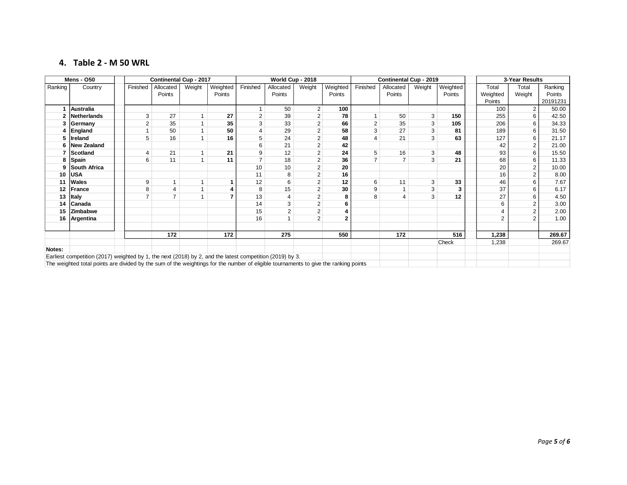### **4. Table 2 - M 50 WRL**

|         | <b>Mens - 050</b>                                                                                                                                                                                                                                |  |                | <b>Continental Cup - 2017</b> |              |          |                | World Cup - 2018 |                |              | Continental Cup - 2019 |           |        |          |  | 3-Year Results |                |          |  |
|---------|--------------------------------------------------------------------------------------------------------------------------------------------------------------------------------------------------------------------------------------------------|--|----------------|-------------------------------|--------------|----------|----------------|------------------|----------------|--------------|------------------------|-----------|--------|----------|--|----------------|----------------|----------|--|
| Ranking | Country                                                                                                                                                                                                                                          |  | Finished       | Allocated                     | Weight       | Weighted | Finished       | Allocated        | Weight         | Weighted     | Finished               | Allocated | Weight | Weighted |  | Total          | Total          | Ranking  |  |
|         |                                                                                                                                                                                                                                                  |  |                | Points                        |              | Points   |                | Points           |                | Points       |                        | Points    |        | Points   |  | Weighted       | Weight         | Points   |  |
|         |                                                                                                                                                                                                                                                  |  |                |                               |              |          |                |                  |                |              |                        |           |        |          |  | Points         |                | 20191231 |  |
|         | Australia                                                                                                                                                                                                                                        |  |                |                               |              |          |                | 50               | $\overline{2}$ | 100          |                        |           |        |          |  | 100            |                | 50.00    |  |
|         | <b>Netherlands</b>                                                                                                                                                                                                                               |  | 3              | 27                            | 1            | 27       | $\overline{2}$ | 39               | $\overline{2}$ | 78           |                        | 50        | 3      | 150      |  | 255            | 6              | 42.50    |  |
|         | Germany                                                                                                                                                                                                                                          |  | $\overline{2}$ | 35                            | 1            | 35       | 3              | 33               | $\overline{2}$ | 66           | $\overline{2}$         | 35        | 3      | 105      |  | 206            | 6              | 34.33    |  |
|         | England                                                                                                                                                                                                                                          |  | $\mathbf{1}$   | 50                            | 1            | 50       | $\overline{4}$ | 29               | $\overline{2}$ | 58           | 3                      | 27        | 3      | 81       |  | 189            | 6              | 31.50    |  |
|         | Ireland                                                                                                                                                                                                                                          |  | 5              | 16                            | 1            | 16       | 5              | 24               | $\overline{2}$ | 48           |                        | 21        | 3      | 63       |  | 127            | 6              | 21.17    |  |
|         | New Zealand                                                                                                                                                                                                                                      |  |                |                               |              |          | 6              | 21               | 2              | 42           |                        |           |        |          |  | 42             |                | 21.00    |  |
|         | Scotland                                                                                                                                                                                                                                         |  | $\overline{4}$ | 21                            | 1            | 21       | 9              | 12               | 2              | 24           | 5                      | 16        | 3      | 48       |  | 93             | 6              | 15.50    |  |
| 8       | Spain                                                                                                                                                                                                                                            |  | 6              | 11                            | $\mathbf{1}$ | 11       | $\overline{7}$ | 18               | $\overline{2}$ | 36           |                        |           | 3      | 21       |  | 68             | 6              | 11.33    |  |
| 9       | South Africa                                                                                                                                                                                                                                     |  |                |                               |              |          | 10             | 10               | $\overline{2}$ | 20           |                        |           |        |          |  | 20             |                | 10.00    |  |
| 10      | <b>USA</b>                                                                                                                                                                                                                                       |  |                |                               |              |          | 11             | 8                | $\overline{2}$ | 16           |                        |           |        |          |  | 16             | $\overline{2}$ | 8.00     |  |
| 11      | Wales                                                                                                                                                                                                                                            |  | 9              | 1                             | 1            | -1       | 12             | 6                | $\overline{2}$ | 12           | 6                      | 11        | 3      | 33       |  | 46             | 6              | 7.67     |  |
| 12      | France                                                                                                                                                                                                                                           |  | 8              | 4                             | $\mathbf{1}$ | 4        | 8              | 15               | $\overline{2}$ | 30           | 9                      |           | 3      | 3        |  | 37             | 6              | 6.17     |  |
| 13      | <b>Italy</b>                                                                                                                                                                                                                                     |  | $\overline{7}$ | $\overline{7}$                | 1            |          | 13             | 4                | $\overline{2}$ | 8            | 8                      |           | 3      | 12       |  | 27             |                | 4.50     |  |
| 14      | Canada                                                                                                                                                                                                                                           |  |                |                               |              |          | 14             | 3                | 2              | 6            |                        |           |        |          |  |                |                | 3.00     |  |
| 15      | Zimbabwe                                                                                                                                                                                                                                         |  |                |                               |              |          | 15             | 2                | 2              | 4            |                        |           |        |          |  |                | 2              | 2.00     |  |
| 16      | Argentina                                                                                                                                                                                                                                        |  |                |                               |              |          | 16             |                  | $\overline{2}$ | $\mathbf{2}$ |                        |           |        |          |  |                | $\overline{2}$ | 1.00     |  |
|         |                                                                                                                                                                                                                                                  |  |                |                               |              |          |                |                  |                |              |                        |           |        |          |  |                |                |          |  |
|         |                                                                                                                                                                                                                                                  |  |                | 172                           |              | 172      |                | 275              |                | 550          |                        | 172       |        | 516      |  | 1,238          |                | 269.67   |  |
|         |                                                                                                                                                                                                                                                  |  |                |                               |              |          |                |                  |                |              |                        |           |        | Check    |  | 1,238          |                | 269.67   |  |
| Notes:  |                                                                                                                                                                                                                                                  |  |                |                               |              |          |                |                  |                |              |                        |           |        |          |  |                |                |          |  |
|         |                                                                                                                                                                                                                                                  |  |                |                               |              |          |                |                  |                |              |                        |           |        |          |  |                |                |          |  |
|         | Earliest competition (2017) weighted by 1, the next (2018) by 2, and the latest competition (2019) by 3.<br>The weighted total points are divided by the sum of the weightings for the number of eligible tournaments to give the ranking points |  |                |                               |              |          |                |                  |                |              |                        |           |        |          |  |                |                |          |  |